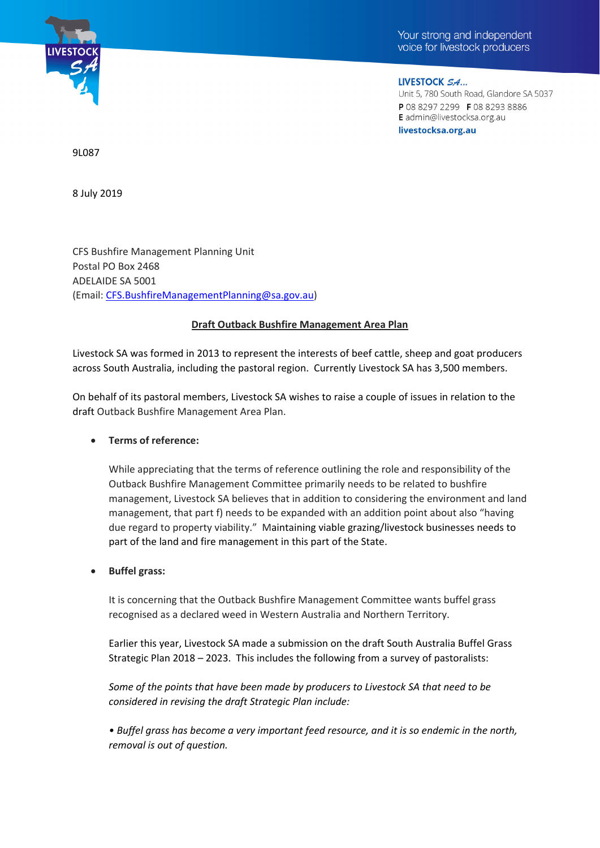

LIVESTOCK SA... Unit 5, 780 South Road, Glandore SA 5037 P 08 8297 2299 F 08 8293 8886 E admin@livestocksa.org.au livestocksa.org.au

9L087

8 July 2019

CFS Bushfire Management Planning Unit Postal PO Box 2468 ADELAIDE SA 5001 (Email: CFS.BushfireManagementPlanning@sa.gov.au)

## **Draft Outback Bushfire Management Area Plan**

Livestock SA was formed in 2013 to represent the interests of beef cattle, sheep and goat producers across South Australia, including the pastoral region. Currently Livestock SA has 3,500 members.

On behalf of its pastoral members, Livestock SA wishes to raise a couple of issues in relation to the draft Outback Bushfire Management Area Plan.

## **Terms of reference:**

While appreciating that the terms of reference outlining the role and responsibility of the Outback Bushfire Management Committee primarily needs to be related to bushfire management, Livestock SA believes that in addition to considering the environment and land management, that part f) needs to be expanded with an addition point about also "having due regard to property viability." Maintaining viable grazing/livestock businesses needs to part of the land and fire management in this part of the State.

## **Buffel grass:**

It is concerning that the Outback Bushfire Management Committee wants buffel grass recognised as a declared weed in Western Australia and Northern Territory.

Earlier this year, Livestock SA made a submission on the draft South Australia Buffel Grass Strategic Plan 2018 – 2023. This includes the following from a survey of pastoralists:

*Some of the points that have been made by producers to Livestock SA that need to be considered in revising the draft Strategic Plan include:* 

*• Buffel grass has become a very important feed resource, and it is so endemic in the north, removal is out of question.*